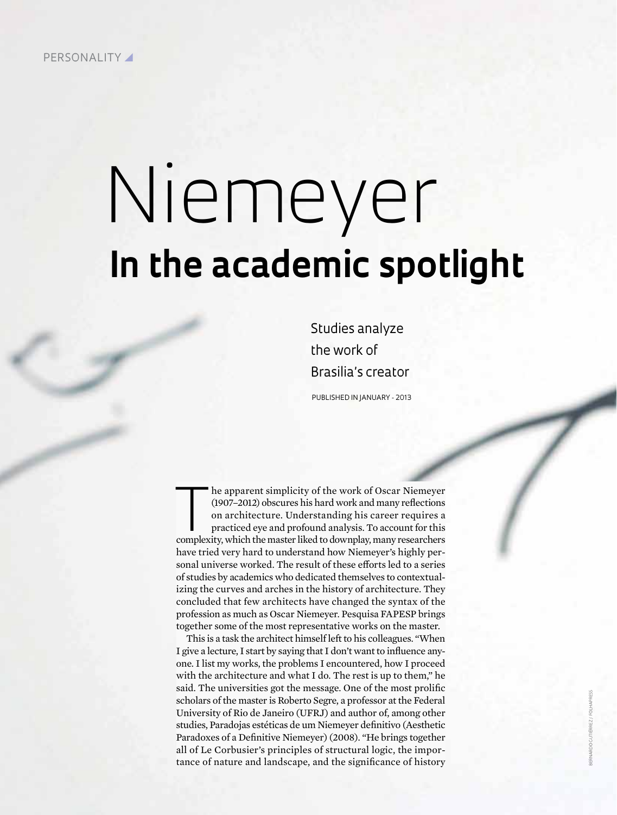## Niemeyer **In the academic spotlight**

Studies analyze the work of Brasilia's creator

Published in january - 2013

 $\begin{array}{c}\n\hline\n\end{array}$ he apparent simplicity of the work of Oscar Niemeyer (1907–2012) obscures his hard work and many reflections on architecture. Understanding his career requires a practiced eye and profound analysis. To account for this complexity, which the master liked to downplay, many researchers have tried very hard to understand how Niemeyer's highly personal universe worked. The result of these efforts led to a series of studies by academics who dedicated themselves to contextualizing the curves and arches in the history of architecture. They concluded that few architects have changed the syntax of the profession as much as Oscar Niemeyer. Pesquisa FAPESP brings together some of the most representative works on the master.

This is a task the architect himself left to his colleagues. "When I give a lecture, I start by saying that I don't want to influence anyone. I list my works, the problems I encountered, how I proceed with the architecture and what I do. The rest is up to them," he said. The universities got the message. One of the most prolific scholars of the master is Roberto Segre, a professor at the Federal University of Rio de Janeiro (UFRJ) and author of, among other studies, Paradojas estéticas de um Niemeyer definitivo (Aesthetic Paradoxes of a Definitive Niemeyer) (2008). "He brings together all of Le Corbusier's principles of structural logic, the imporscholars of the master is Roberto Segre, a professor at the Federal<br>Scholars of the master is Roberto Segre, a professor at the Federal<br>University of Rio de Janeiro (UFRJ) and author of, among other<br>studies, Paradojas esté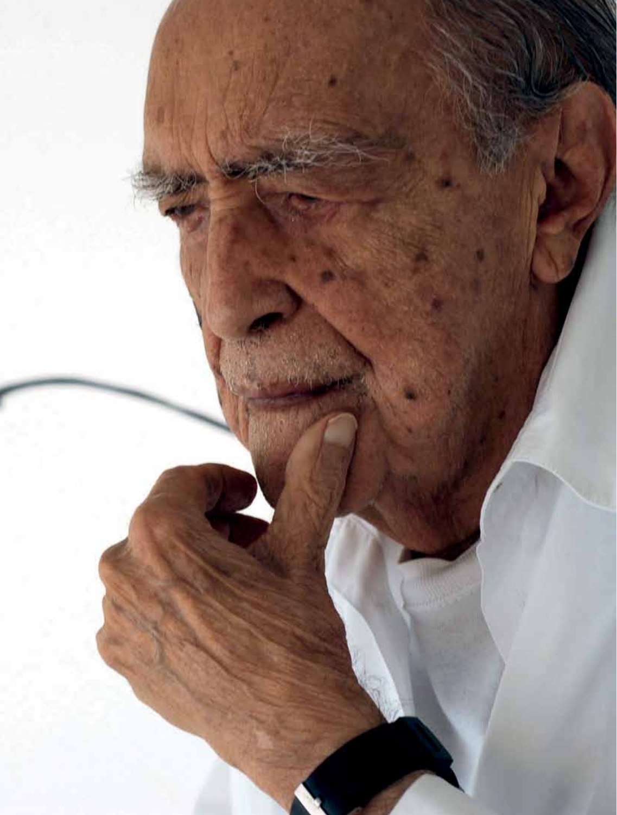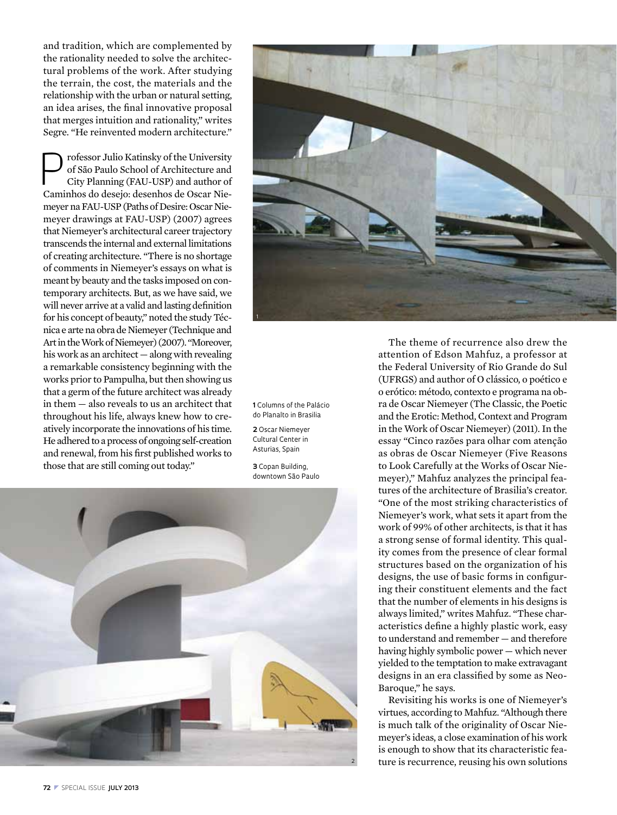and tradition, which are complemented by the rationality needed to solve the architectural problems of the work. After studying the terrain, the cost, the materials and the relationship with the urban or natural setting, an idea arises, the final innovative proposal that merges intuition and rationality," writes Segre. "He reinvented modern architecture."

Professor Julio Katinsky of the University<br>
of São Paulo School of Architecture and<br>
City Planning (FAU-USP) and author of of São Paulo School of Architecture and Caminhos do desejo: desenhos de Oscar Niemeyer na FAU-USP (Paths of Desire: Oscar Niemeyer drawings at FAU-USP) (2007) agrees that Niemeyer's architectural career trajectory transcends the internal and external limitations of creating architecture. "There is no shortage of comments in Niemeyer's essays on what is meant by beauty and the tasks imposed on contemporary architects. But, as we have said, we will never arrive at a valid and lasting definition for his concept of beauty," noted the study Técnica e arte na obra de Niemeyer (Technique and Art in the Work of Niemeyer) (2007). "Moreover, his work as an architect — along with revealing a remarkable consistency beginning with the works prior to Pampulha, but then showing us that a germ of the future architect was already in them — also reveals to us an architect that throughout his life, always knew how to creatively incorporate the innovations of his time. He adhered to a process of ongoing self-creation and renewal, from his first published works to those that are still coming out today."

![](_page_2_Picture_2.jpeg)

**1** Columns of the Palácio do Planalto in Brasilia

**2** Oscar Niemeyer Cultural Center in Asturias, Spain

**3** Copan Building, downtown São Paulo

![](_page_2_Picture_6.jpeg)

The theme of recurrence also drew the attention of Edson Mahfuz, a professor at the Federal University of Rio Grande do Sul (UFRGS) and author of O clássico, o poético e o erótico: método, contexto e programa na obra de Oscar Niemeyer (The Classic, the Poetic and the Erotic: Method, Context and Program in the Work of Oscar Niemeyer) (2011). In the essay "Cinco razões para olhar com atenção as obras de Oscar Niemeyer (Five Reasons to Look Carefully at the Works of Oscar Niemeyer)," Mahfuz analyzes the principal features of the architecture of Brasilia's creator. "One of the most striking characteristics of Niemeyer's work, what sets it apart from the work of 99% of other architects, is that it has a strong sense of formal identity. This quality comes from the presence of clear formal structures based on the organization of his designs, the use of basic forms in configuring their constituent elements and the fact that the number of elements in his designs is always limited," writes Mahfuz. "These characteristics define a highly plastic work, easy to understand and remember — and therefore having highly symbolic power — which never yielded to the temptation to make extravagant designs in an era classified by some as Neo-Baroque," he says.

Revisiting his works is one of Niemeyer's virtues, according to Mahfuz. "Although there is much talk of the originality of Oscar Niemeyer's ideas, a close examination of his work is enough to show that its characteristic feature is recurrence, reusing his own solutions